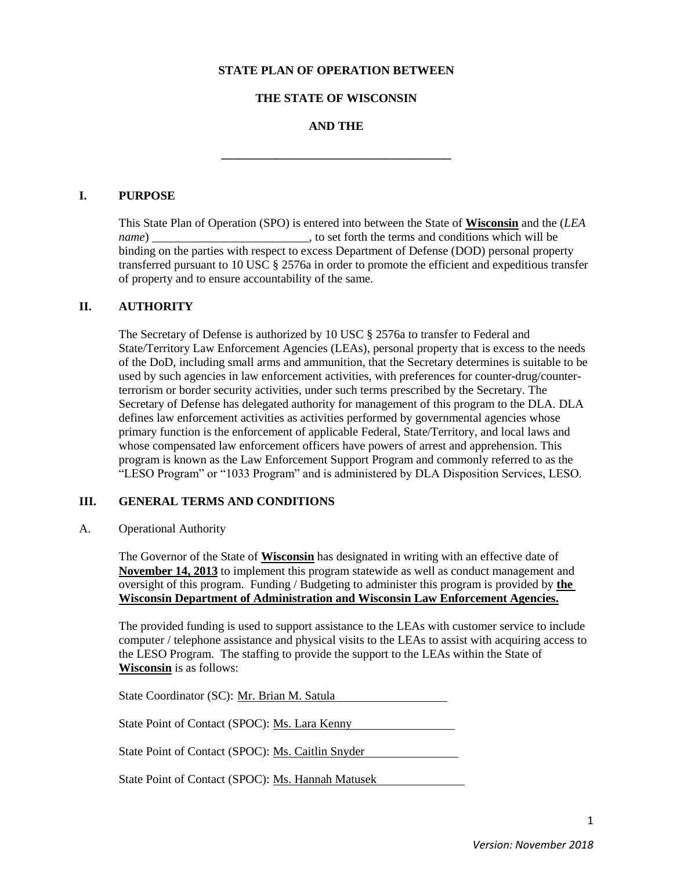### **STATE PLAN OF OPERATION BETWEEN**

### **THE STATE OF WISCONSIN**

### **AND THE**

**\_\_\_\_\_\_\_\_\_\_\_\_\_\_\_\_\_\_\_\_\_\_\_\_\_\_\_\_\_\_\_\_\_\_\_\_\_\_**

#### **I. PURPOSE**

This State Plan of Operation (SPO) is entered into between the State of **Wisconsin** and the (*LEA name*) \_\_\_\_\_\_\_\_\_\_\_\_\_\_\_\_\_\_\_\_\_\_\_\_\_\_\_, to set forth the terms and conditions which will be binding on the parties with respect to excess Department of Defense (DOD) personal property transferred pursuant to 10 USC § 2576a in order to promote the efficient and expeditious transfer of property and to ensure accountability of the same.

#### **II. AUTHORITY**

The Secretary of Defense is authorized by 10 USC § 2576a to transfer to Federal and State/Territory Law Enforcement Agencies (LEAs), personal property that is excess to the needs of the DoD, including small arms and ammunition, that the Secretary determines is suitable to be used by such agencies in law enforcement activities, with preferences for counter-drug/counterterrorism or border security activities, under such terms prescribed by the Secretary. The Secretary of Defense has delegated authority for management of this program to the DLA. DLA defines law enforcement activities as activities performed by governmental agencies whose primary function is the enforcement of applicable Federal, State/Territory, and local laws and whose compensated law enforcement officers have powers of arrest and apprehension. This program is known as the Law Enforcement Support Program and commonly referred to as the "LESO Program" or "1033 Program" and is administered by DLA Disposition Services, LESO.

#### **III. GENERAL TERMS AND CONDITIONS**

A. Operational Authority

The Governor of the State of **Wisconsin** has designated in writing with an effective date of **November 14, 2013** to implement this program statewide as well as conduct management and oversight of this program. Funding / Budgeting to administer this program is provided by **the Wisconsin Department of Administration and Wisconsin Law Enforcement Agencies.**

The provided funding is used to support assistance to the LEAs with customer service to include computer / telephone assistance and physical visits to the LEAs to assist with acquiring access to the LESO Program. The staffing to provide the support to the LEAs within the State of **Wisconsin** is as follows:

| State Coordinator (SC): Mr. Brian M. Satula       |
|---------------------------------------------------|
| State Point of Contact (SPOC): Ms. Lara Kenny     |
| State Point of Contact (SPOC): Ms. Caitlin Snyder |
| State Point of Contact (SPOC): Ms. Hannah Matusek |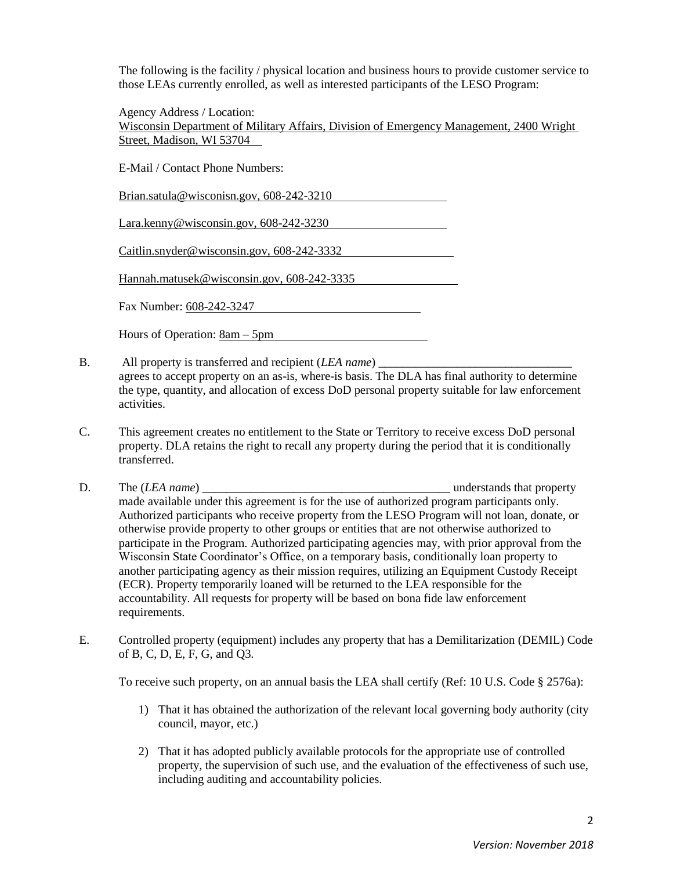The following is the facility / physical location and business hours to provide customer service to those LEAs currently enrolled, as well as interested participants of the LESO Program:

Agency Address / Location: Wisconsin Department of Military Affairs, Division of Emergency Management, 2400 Wright Street, Madison, WI 53704

E-Mail / Contact Phone Numbers:

Brian.satula@wisconisn.gov, 608-242-3210

Lara.kenny@wisconsin.gov, 608-242-3230

Caitlin.snyder@wisconsin.gov, 608-242-3332

Hannah.matusek@wisconsin.gov, 608-242-3335

Fax Number: 608-242-3247

Hours of Operation: 8am – 5pm

- B. All property is transferred and recipient (*LEA name*) agrees to accept property on an as-is, where-is basis. The DLA has final authority to determine the type, quantity, and allocation of excess DoD personal property suitable for law enforcement activities.
- C. This agreement creates no entitlement to the State or Territory to receive excess DoD personal property. DLA retains the right to recall any property during the period that it is conditionally transferred.
- D. The (*LEA name*) \_\_\_\_\_\_\_\_\_\_\_\_\_\_\_\_\_\_\_\_\_\_\_\_\_\_\_\_\_\_\_\_\_\_\_\_\_\_\_\_\_ understands that property made available under this agreement is for the use of authorized program participants only. Authorized participants who receive property from the LESO Program will not loan, donate, or otherwise provide property to other groups or entities that are not otherwise authorized to participate in the Program. Authorized participating agencies may, with prior approval from the Wisconsin State Coordinator's Office, on a temporary basis, conditionally loan property to another participating agency as their mission requires, utilizing an Equipment Custody Receipt (ECR). Property temporarily loaned will be returned to the LEA responsible for the accountability. All requests for property will be based on bona fide law enforcement requirements.
- E. Controlled property (equipment) includes any property that has a Demilitarization (DEMIL) Code of B, C, D, E, F, G, and Q3.

To receive such property, on an annual basis the LEA shall certify (Ref: 10 U.S. Code § 2576a):

- 1) That it has obtained the authorization of the relevant local governing body authority (city council, mayor, etc.)
- 2) That it has adopted publicly available protocols for the appropriate use of controlled property, the supervision of such use, and the evaluation of the effectiveness of such use, including auditing and accountability policies.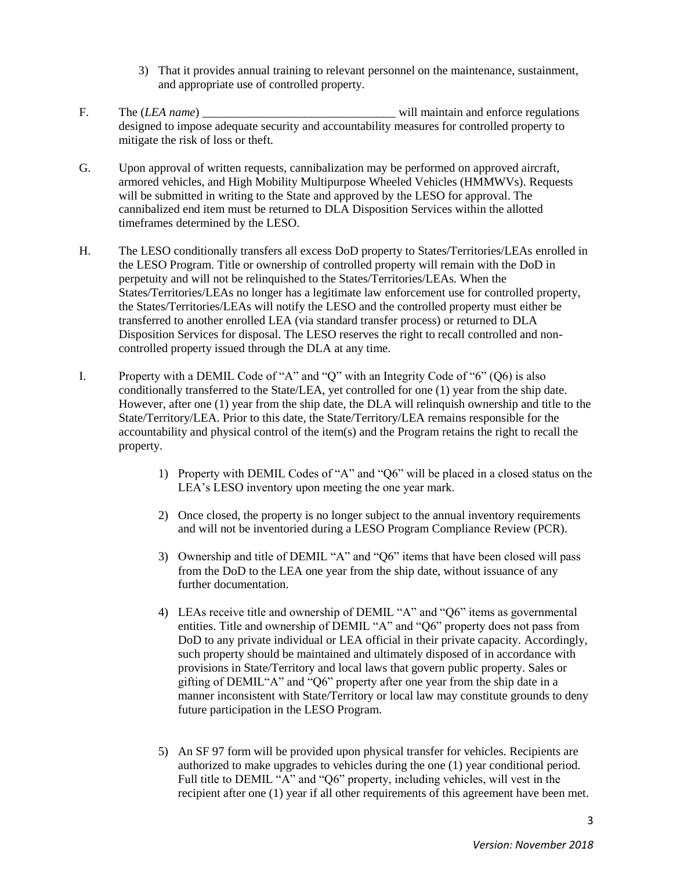- 3) That it provides annual training to relevant personnel on the maintenance, sustainment, and appropriate use of controlled property.
- F. The (*LEA name*) will maintain and enforce regulations designed to impose adequate security and accountability measures for controlled property to mitigate the risk of loss or theft.
- G. Upon approval of written requests, cannibalization may be performed on approved aircraft, armored vehicles, and High Mobility Multipurpose Wheeled Vehicles (HMMWVs). Requests will be submitted in writing to the State and approved by the LESO for approval. The cannibalized end item must be returned to DLA Disposition Services within the allotted timeframes determined by the LESO.
- H. The LESO conditionally transfers all excess DoD property to States/Territories/LEAs enrolled in the LESO Program. Title or ownership of controlled property will remain with the DoD in perpetuity and will not be relinquished to the States/Territories/LEAs. When the States/Territories/LEAs no longer has a legitimate law enforcement use for controlled property, the States/Territories/LEAs will notify the LESO and the controlled property must either be transferred to another enrolled LEA (via standard transfer process) or returned to DLA Disposition Services for disposal. The LESO reserves the right to recall controlled and noncontrolled property issued through the DLA at any time.
- I. Property with a DEMIL Code of "A" and "O" with an Integrity Code of " $6$ " (O6) is also conditionally transferred to the State/LEA, yet controlled for one (1) year from the ship date. However, after one (1) year from the ship date, the DLA will relinquish ownership and title to the State/Territory/LEA. Prior to this date, the State/Territory/LEA remains responsible for the accountability and physical control of the item(s) and the Program retains the right to recall the property.
	- 1) Property with DEMIL Codes of "A" and "Q6" will be placed in a closed status on the LEA's LESO inventory upon meeting the one year mark.
	- 2) Once closed, the property is no longer subject to the annual inventory requirements and will not be inventoried during a LESO Program Compliance Review (PCR).
	- 3) Ownership and title of DEMIL "A" and "Q6" items that have been closed will pass from the DoD to the LEA one year from the ship date, without issuance of any further documentation.
	- 4) LEAs receive title and ownership of DEMIL "A" and "Q6" items as governmental entities. Title and ownership of DEMIL "A" and "Q6" property does not pass from DoD to any private individual or LEA official in their private capacity. Accordingly, such property should be maintained and ultimately disposed of in accordance with provisions in State/Territory and local laws that govern public property. Sales or gifting of DEMIL"A" and "Q6" property after one year from the ship date in a manner inconsistent with State/Territory or local law may constitute grounds to deny future participation in the LESO Program.
	- 5) An SF 97 form will be provided upon physical transfer for vehicles. Recipients are authorized to make upgrades to vehicles during the one (1) year conditional period. Full title to DEMIL "A" and "Q6" property, including vehicles, will vest in the recipient after one (1) year if all other requirements of this agreement have been met.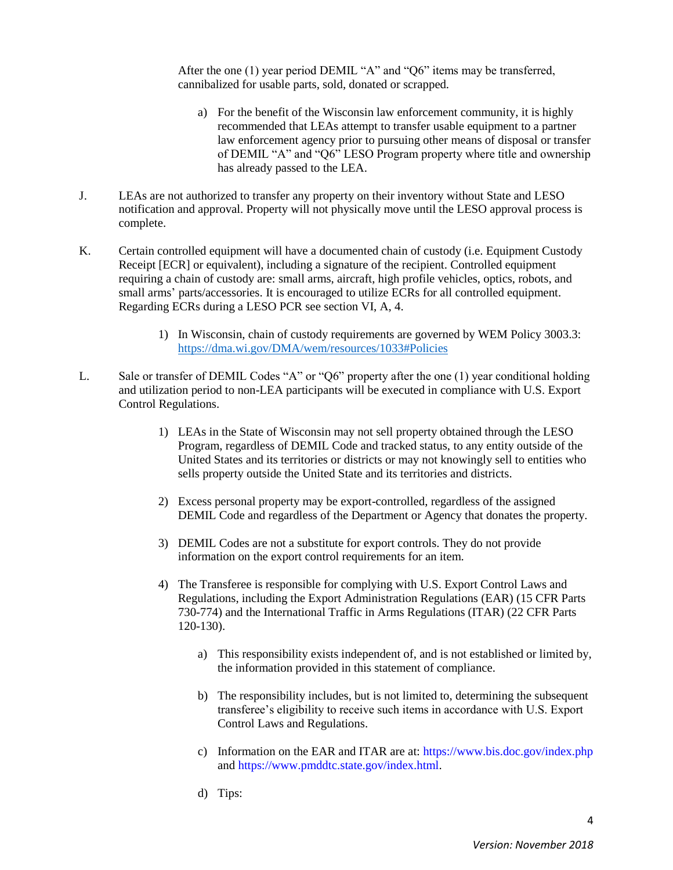After the one (1) year period DEMIL "A" and "Q6" items may be transferred, cannibalized for usable parts, sold, donated or scrapped.

- a) For the benefit of the Wisconsin law enforcement community, it is highly recommended that LEAs attempt to transfer usable equipment to a partner law enforcement agency prior to pursuing other means of disposal or transfer of DEMIL "A" and "Q6" LESO Program property where title and ownership has already passed to the LEA.
- J. LEAs are not authorized to transfer any property on their inventory without State and LESO notification and approval. Property will not physically move until the LESO approval process is complete.
- K. Certain controlled equipment will have a documented chain of custody (i.e. Equipment Custody Receipt [ECR] or equivalent), including a signature of the recipient. Controlled equipment requiring a chain of custody are: small arms, aircraft, high profile vehicles, optics, robots, and small arms' parts/accessories. It is encouraged to utilize ECRs for all controlled equipment. Regarding ECRs during a LESO PCR see section VI, A, 4.
	- 1) In Wisconsin, chain of custody requirements are governed by WEM Policy 3003.3: <https://dma.wi.gov/DMA/wem/resources/1033#Policies>
- L. Sale or transfer of DEMIL Codes "A" or "Q6" property after the one (1) year conditional holding and utilization period to non-LEA participants will be executed in compliance with U.S. Export Control Regulations.
	- 1) LEAs in the State of Wisconsin may not sell property obtained through the LESO Program, regardless of DEMIL Code and tracked status, to any entity outside of the United States and its territories or districts or may not knowingly sell to entities who sells property outside the United State and its territories and districts.
	- 2) Excess personal property may be export-controlled, regardless of the assigned DEMIL Code and regardless of the Department or Agency that donates the property.
	- 3) DEMIL Codes are not a substitute for export controls. They do not provide information on the export control requirements for an item.
	- 4) The Transferee is responsible for complying with U.S. Export Control Laws and Regulations, including the Export Administration Regulations (EAR) (15 CFR Parts 730-774) and the International Traffic in Arms Regulations (ITAR) (22 CFR Parts 120-130).
		- a) This responsibility exists independent of, and is not established or limited by, the information provided in this statement of compliance.
		- b) The responsibility includes, but is not limited to, determining the subsequent transferee's eligibility to receive such items in accordance with U.S. Export Control Laws and Regulations.
		- c) Information on the EAR and ITAR are at:<https://www.bis.doc.gov/index.php> and [https://www.pmddtc.state.gov/index.html.](https://www.pmddtc.state.gov/index.html)
		- d) Tips: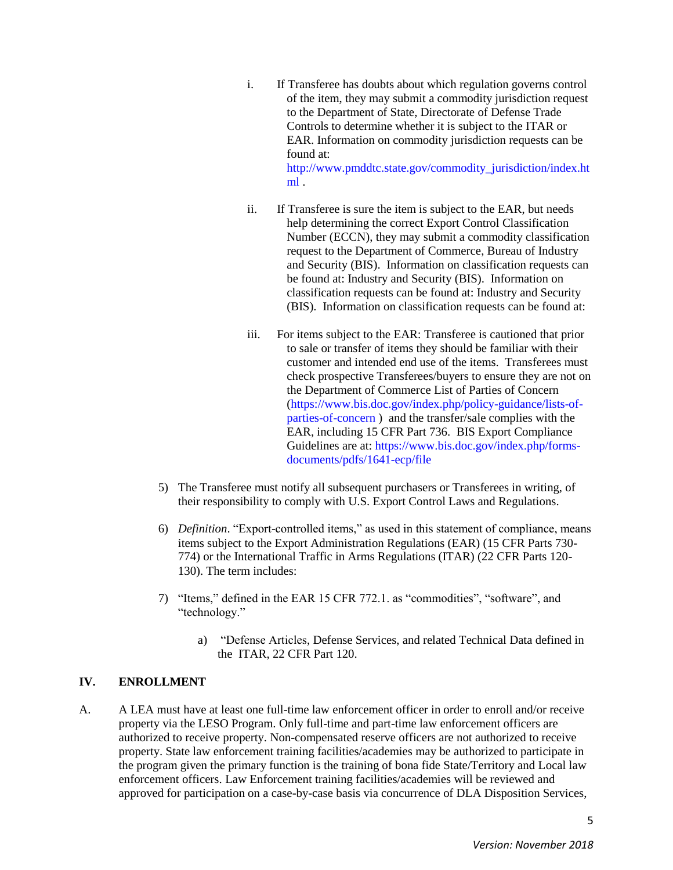i. If Transferee has doubts about which regulation governs control of the item, they may submit a commodity jurisdiction request to the Department of State, Directorate of Defense Trade Controls to determine whether it is subject to the ITAR or EAR. Information on commodity jurisdiction requests can be found at:

[http://www.pmddtc.state.gov/commodity\\_jurisdiction/index.ht](http://www.pmddtc.state.gov/commodity_jurisdiction/index.html) [ml](http://www.pmddtc.state.gov/commodity_jurisdiction/index.html).

- ii. If Transferee is sure the item is subject to the EAR, but needs help determining the correct Export Control Classification Number (ECCN), they may submit a commodity classification request to the Department of Commerce, Bureau of Industry and Security (BIS). Information on classification requests can be found at: Industry and Security (BIS). Information on classification requests can be found at: Industry and Security (BIS). Information on classification requests can be found at:
- iii. For items subject to the EAR: Transferee is cautioned that prior to sale or transfer of items they should be familiar with their customer and intended end use of the items. Transferees must check prospective Transferees/buyers to ensure they are not on the Department of Commerce List of Parties of Concern [\(https://www.bis.doc.gov/index.php/policy-guidance/lists-of](https://www.bis.doc.gov/index.php/policy-guidance/lists-of-parties-of-concern)[parties-of-concern](https://www.bis.doc.gov/index.php/policy-guidance/lists-of-parties-of-concern) ) and the transfer/sale complies with the EAR, including 15 CFR Part 736. BIS Export Compliance Guidelines are at: [https://www.bis.doc.gov/index.php/forms](https://www.bis.doc.gov/index.php/forms-documents/pdfs/1641-ecp/file)[documents/pdfs/1641-ecp/file](https://www.bis.doc.gov/index.php/forms-documents/pdfs/1641-ecp/file)
- 5) The Transferee must notify all subsequent purchasers or Transferees in writing, of their responsibility to comply with U.S. Export Control Laws and Regulations.
- 6) *Definition*. "Export-controlled items," as used in this statement of compliance, means items subject to the Export Administration Regulations (EAR) (15 CFR Parts 730- 774) or the International Traffic in Arms Regulations (ITAR) (22 CFR Parts 120- 130). The term includes:
- 7) "Items," defined in the EAR 15 CFR 772.1. as "commodities", "software", and "technology."
	- a) "Defense Articles, Defense Services, and related Technical Data defined in the ITAR, 22 CFR Part 120.

## **IV. ENROLLMENT**

A. A LEA must have at least one full-time law enforcement officer in order to enroll and/or receive property via the LESO Program. Only full-time and part-time law enforcement officers are authorized to receive property. Non-compensated reserve officers are not authorized to receive property. State law enforcement training facilities/academies may be authorized to participate in the program given the primary function is the training of bona fide State/Territory and Local law enforcement officers. Law Enforcement training facilities/academies will be reviewed and approved for participation on a case-by-case basis via concurrence of DLA Disposition Services,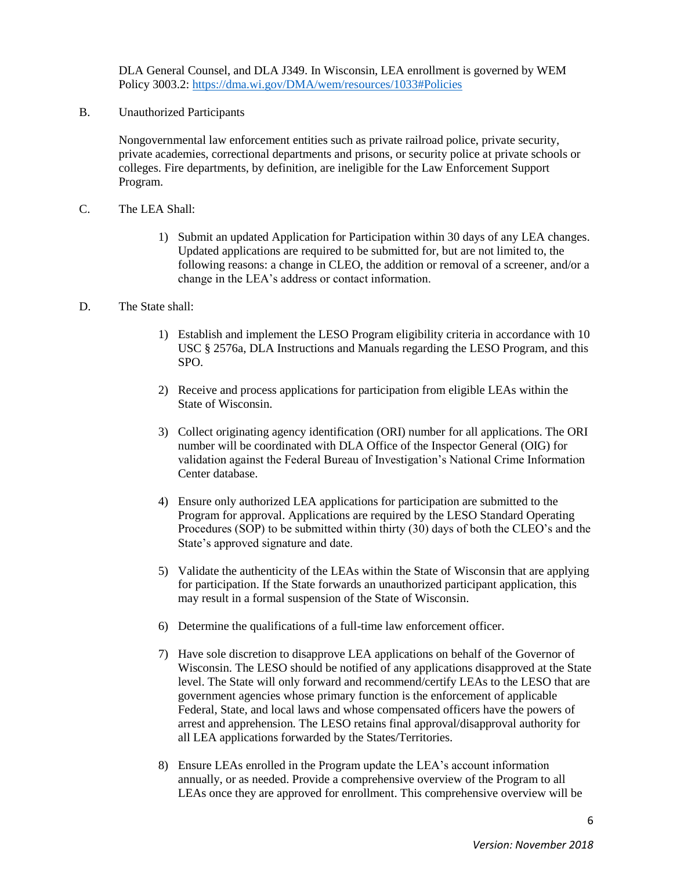DLA General Counsel, and DLA J349. In Wisconsin, LEA enrollment is governed by WEM Policy 3003.2:<https://dma.wi.gov/DMA/wem/resources/1033#Policies>

B. Unauthorized Participants

Nongovernmental law enforcement entities such as private railroad police, private security, private academies, correctional departments and prisons, or security police at private schools or colleges. Fire departments, by definition, are ineligible for the Law Enforcement Support Program.

- C. The LEA Shall:
	- 1) Submit an updated Application for Participation within 30 days of any LEA changes. Updated applications are required to be submitted for, but are not limited to, the following reasons: a change in CLEO, the addition or removal of a screener, and/or a change in the LEA's address or contact information.
- D. The State shall:
	- 1) Establish and implement the LESO Program eligibility criteria in accordance with 10 USC § 2576a, DLA Instructions and Manuals regarding the LESO Program, and this SPO.
	- 2) Receive and process applications for participation from eligible LEAs within the State of Wisconsin.
	- 3) Collect originating agency identification (ORI) number for all applications. The ORI number will be coordinated with DLA Office of the Inspector General (OIG) for validation against the Federal Bureau of Investigation's National Crime Information Center database.
	- 4) Ensure only authorized LEA applications for participation are submitted to the Program for approval. Applications are required by the LESO Standard Operating Procedures (SOP) to be submitted within thirty (30) days of both the CLEO's and the State's approved signature and date.
	- 5) Validate the authenticity of the LEAs within the State of Wisconsin that are applying for participation. If the State forwards an unauthorized participant application, this may result in a formal suspension of the State of Wisconsin.
	- 6) Determine the qualifications of a full-time law enforcement officer.
	- 7) Have sole discretion to disapprove LEA applications on behalf of the Governor of Wisconsin. The LESO should be notified of any applications disapproved at the State level. The State will only forward and recommend/certify LEAs to the LESO that are government agencies whose primary function is the enforcement of applicable Federal, State, and local laws and whose compensated officers have the powers of arrest and apprehension. The LESO retains final approval/disapproval authority for all LEA applications forwarded by the States/Territories.
	- 8) Ensure LEAs enrolled in the Program update the LEA's account information annually, or as needed. Provide a comprehensive overview of the Program to all LEAs once they are approved for enrollment. This comprehensive overview will be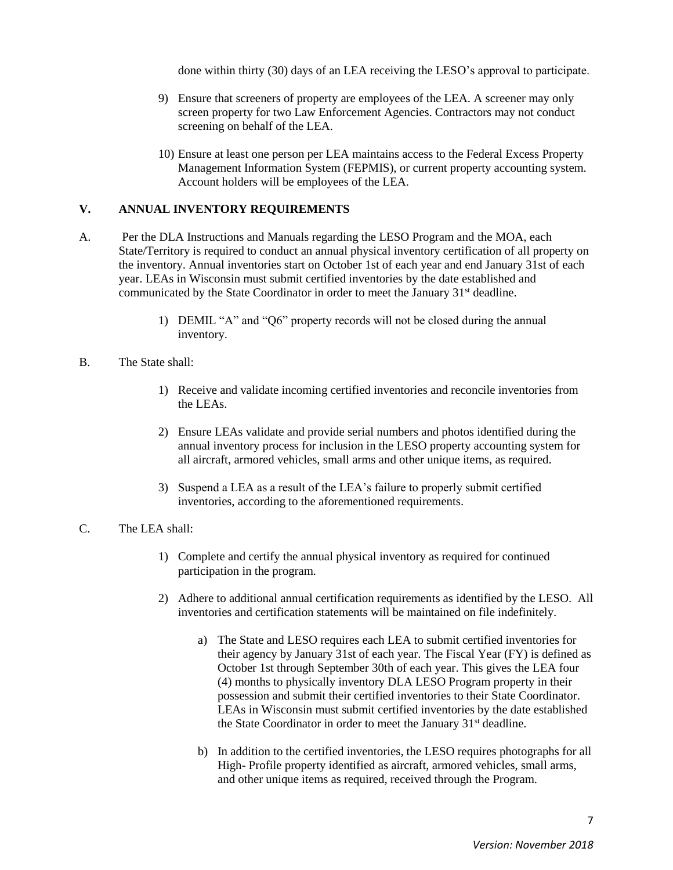done within thirty (30) days of an LEA receiving the LESO's approval to participate.

- 9) Ensure that screeners of property are employees of the LEA. A screener may only screen property for two Law Enforcement Agencies. Contractors may not conduct screening on behalf of the LEA.
- 10) Ensure at least one person per LEA maintains access to the Federal Excess Property Management Information System (FEPMIS), or current property accounting system. Account holders will be employees of the LEA.

### **V. ANNUAL INVENTORY REQUIREMENTS**

- A. Per the DLA Instructions and Manuals regarding the LESO Program and the MOA, each State/Territory is required to conduct an annual physical inventory certification of all property on the inventory. Annual inventories start on October 1st of each year and end January 31st of each year. LEAs in Wisconsin must submit certified inventories by the date established and communicated by the State Coordinator in order to meet the January  $31<sup>st</sup>$  deadline.
	- 1) DEMIL "A" and "Q6" property records will not be closed during the annual inventory.
- B. The State shall:
	- 1) Receive and validate incoming certified inventories and reconcile inventories from the LEAs.
	- 2) Ensure LEAs validate and provide serial numbers and photos identified during the annual inventory process for inclusion in the LESO property accounting system for all aircraft, armored vehicles, small arms and other unique items, as required.
	- 3) Suspend a LEA as a result of the LEA's failure to properly submit certified inventories, according to the aforementioned requirements.
- C. The LEA shall:
	- 1) Complete and certify the annual physical inventory as required for continued participation in the program.
	- 2) Adhere to additional annual certification requirements as identified by the LESO. All inventories and certification statements will be maintained on file indefinitely.
		- a) The State and LESO requires each LEA to submit certified inventories for their agency by January 31st of each year. The Fiscal Year (FY) is defined as October 1st through September 30th of each year. This gives the LEA four (4) months to physically inventory DLA LESO Program property in their possession and submit their certified inventories to their State Coordinator. LEAs in Wisconsin must submit certified inventories by the date established the State Coordinator in order to meet the January 31<sup>st</sup> deadline.
		- b) In addition to the certified inventories, the LESO requires photographs for all High- Profile property identified as aircraft, armored vehicles, small arms, and other unique items as required, received through the Program.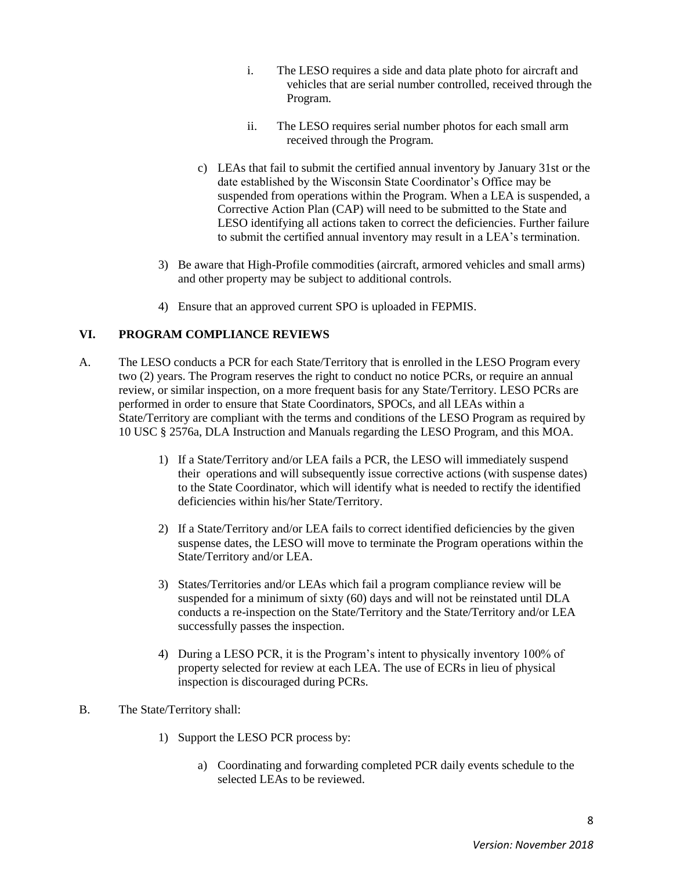- i. The LESO requires a side and data plate photo for aircraft and vehicles that are serial number controlled, received through the Program.
- ii. The LESO requires serial number photos for each small arm received through the Program.
- c) LEAs that fail to submit the certified annual inventory by January 31st or the date established by the Wisconsin State Coordinator's Office may be suspended from operations within the Program. When a LEA is suspended, a Corrective Action Plan (CAP) will need to be submitted to the State and LESO identifying all actions taken to correct the deficiencies. Further failure to submit the certified annual inventory may result in a LEA's termination.
- 3) Be aware that High-Profile commodities (aircraft, armored vehicles and small arms) and other property may be subject to additional controls.
- 4) Ensure that an approved current SPO is uploaded in FEPMIS.

## **VI. PROGRAM COMPLIANCE REVIEWS**

- A. The LESO conducts a PCR for each State/Territory that is enrolled in the LESO Program every two (2) years. The Program reserves the right to conduct no notice PCRs, or require an annual review, or similar inspection, on a more frequent basis for any State/Territory. LESO PCRs are performed in order to ensure that State Coordinators, SPOCs, and all LEAs within a State/Territory are compliant with the terms and conditions of the LESO Program as required by 10 USC § 2576a, DLA Instruction and Manuals regarding the LESO Program, and this MOA.
	- 1) If a State/Territory and/or LEA fails a PCR, the LESO will immediately suspend their operations and will subsequently issue corrective actions (with suspense dates) to the State Coordinator, which will identify what is needed to rectify the identified deficiencies within his/her State/Territory.
	- 2) If a State/Territory and/or LEA fails to correct identified deficiencies by the given suspense dates, the LESO will move to terminate the Program operations within the State/Territory and/or LEA.
	- 3) States/Territories and/or LEAs which fail a program compliance review will be suspended for a minimum of sixty (60) days and will not be reinstated until DLA conducts a re-inspection on the State/Territory and the State/Territory and/or LEA successfully passes the inspection.
	- 4) During a LESO PCR, it is the Program's intent to physically inventory 100% of property selected for review at each LEA. The use of ECRs in lieu of physical inspection is discouraged during PCRs.
- B. The State/Territory shall:
	- 1) Support the LESO PCR process by:
		- a) Coordinating and forwarding completed PCR daily events schedule to the selected LEAs to be reviewed.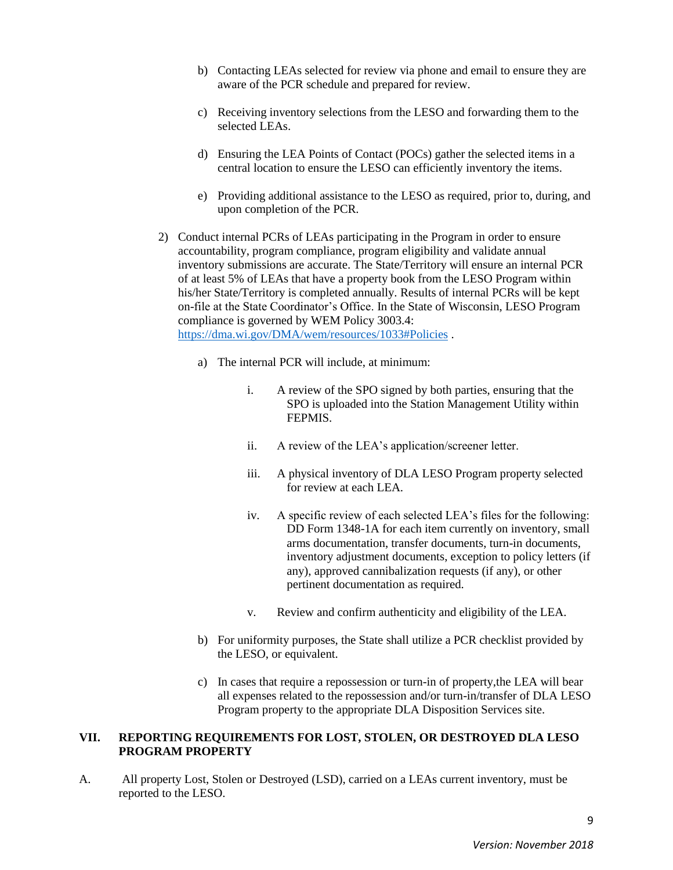- b) Contacting LEAs selected for review via phone and email to ensure they are aware of the PCR schedule and prepared for review.
- c) Receiving inventory selections from the LESO and forwarding them to the selected LEAs.
- d) Ensuring the LEA Points of Contact (POCs) gather the selected items in a central location to ensure the LESO can efficiently inventory the items.
- e) Providing additional assistance to the LESO as required, prior to, during, and upon completion of the PCR.
- 2) Conduct internal PCRs of LEAs participating in the Program in order to ensure accountability, program compliance, program eligibility and validate annual inventory submissions are accurate. The State/Territory will ensure an internal PCR of at least 5% of LEAs that have a property book from the LESO Program within his/her State/Territory is completed annually. Results of internal PCRs will be kept on-file at the State Coordinator's Office. In the State of Wisconsin, LESO Program compliance is governed by WEM Policy 3003.4: <https://dma.wi.gov/DMA/wem/resources/1033#Policies> .
	- a) The internal PCR will include, at minimum:
		- i. A review of the SPO signed by both parties, ensuring that the SPO is uploaded into the Station Management Utility within FEPMIS.
		- ii. A review of the LEA's application/screener letter.
		- iii. A physical inventory of DLA LESO Program property selected for review at each LEA.
		- iv. A specific review of each selected LEA's files for the following: DD Form 1348-1A for each item currently on inventory, small arms documentation, transfer documents, turn-in documents, inventory adjustment documents, exception to policy letters (if any), approved cannibalization requests (if any), or other pertinent documentation as required.
		- v. Review and confirm authenticity and eligibility of the LEA.
	- b) For uniformity purposes, the State shall utilize a PCR checklist provided by the LESO, or equivalent.
	- c) In cases that require a repossession or turn-in of property,the LEA will bear all expenses related to the repossession and/or turn-in/transfer of DLA LESO Program property to the appropriate DLA Disposition Services site.

### **VII. REPORTING REQUIREMENTS FOR LOST, STOLEN, OR DESTROYED DLA LESO PROGRAM PROPERTY**

A. All property Lost, Stolen or Destroyed (LSD), carried on a LEAs current inventory, must be reported to the LESO.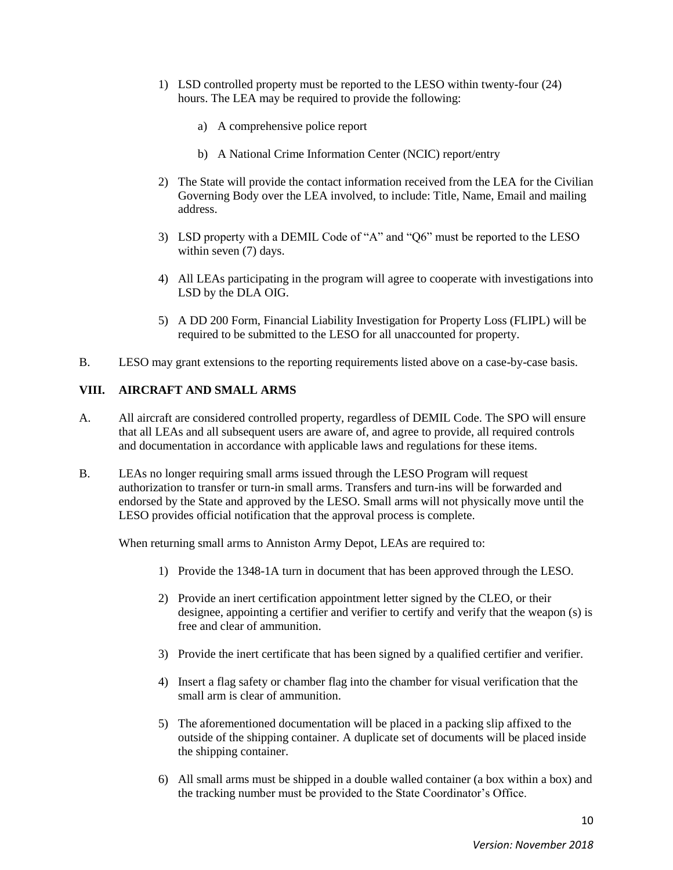- 1) LSD controlled property must be reported to the LESO within twenty-four (24) hours. The LEA may be required to provide the following:
	- a) A comprehensive police report
	- b) A National Crime Information Center (NCIC) report/entry
- 2) The State will provide the contact information received from the LEA for the Civilian Governing Body over the LEA involved, to include: Title, Name, Email and mailing address.
- 3) LSD property with a DEMIL Code of "A" and "Q6" must be reported to the LESO within seven (7) days.
- 4) All LEAs participating in the program will agree to cooperate with investigations into LSD by the DLA OIG.
- 5) A DD 200 Form, Financial Liability Investigation for Property Loss (FLIPL) will be required to be submitted to the LESO for all unaccounted for property.
- B. LESO may grant extensions to the reporting requirements listed above on a case-by-case basis.

### **VIII. AIRCRAFT AND SMALL ARMS**

- A. All aircraft are considered controlled property, regardless of DEMIL Code. The SPO will ensure that all LEAs and all subsequent users are aware of, and agree to provide, all required controls and documentation in accordance with applicable laws and regulations for these items.
- B. LEAs no longer requiring small arms issued through the LESO Program will request authorization to transfer or turn-in small arms. Transfers and turn-ins will be forwarded and endorsed by the State and approved by the LESO. Small arms will not physically move until the LESO provides official notification that the approval process is complete.

When returning small arms to Anniston Army Depot, LEAs are required to:

- 1) Provide the 1348-1A turn in document that has been approved through the LESO.
- 2) Provide an inert certification appointment letter signed by the CLEO, or their designee, appointing a certifier and verifier to certify and verify that the weapon (s) is free and clear of ammunition.
- 3) Provide the inert certificate that has been signed by a qualified certifier and verifier.
- 4) Insert a flag safety or chamber flag into the chamber for visual verification that the small arm is clear of ammunition.
- 5) The aforementioned documentation will be placed in a packing slip affixed to the outside of the shipping container. A duplicate set of documents will be placed inside the shipping container.
- 6) All small arms must be shipped in a double walled container (a box within a box) and the tracking number must be provided to the State Coordinator's Office.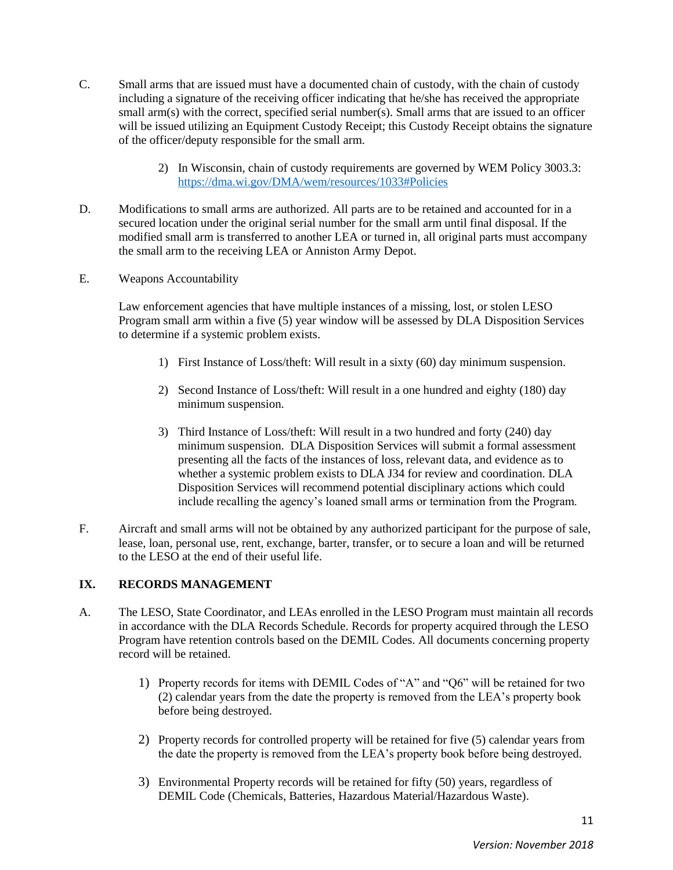- C. Small arms that are issued must have a documented chain of custody, with the chain of custody including a signature of the receiving officer indicating that he/she has received the appropriate small arm(s) with the correct, specified serial number(s). Small arms that are issued to an officer will be issued utilizing an Equipment Custody Receipt; this Custody Receipt obtains the signature of the officer/deputy responsible for the small arm.
	- 2) In Wisconsin, chain of custody requirements are governed by WEM Policy 3003.3: <https://dma.wi.gov/DMA/wem/resources/1033#Policies>
- D. Modifications to small arms are authorized. All parts are to be retained and accounted for in a secured location under the original serial number for the small arm until final disposal. If the modified small arm is transferred to another LEA or turned in, all original parts must accompany the small arm to the receiving LEA or Anniston Army Depot.
- E. Weapons Accountability

Law enforcement agencies that have multiple instances of a missing, lost, or stolen LESO Program small arm within a five (5) year window will be assessed by DLA Disposition Services to determine if a systemic problem exists.

- 1) First Instance of Loss/theft: Will result in a sixty (60) day minimum suspension.
- 2) Second Instance of Loss/theft: Will result in a one hundred and eighty (180) day minimum suspension.
- 3) Third Instance of Loss/theft: Will result in a two hundred and forty (240) day minimum suspension. DLA Disposition Services will submit a formal assessment presenting all the facts of the instances of loss, relevant data, and evidence as to whether a systemic problem exists to DLA J34 for review and coordination. DLA Disposition Services will recommend potential disciplinary actions which could include recalling the agency's loaned small arms or termination from the Program.
- F. Aircraft and small arms will not be obtained by any authorized participant for the purpose of sale, lease, loan, personal use, rent, exchange, barter, transfer, or to secure a loan and will be returned to the LESO at the end of their useful life.

### **IX. RECORDS MANAGEMENT**

- A. The LESO, State Coordinator, and LEAs enrolled in the LESO Program must maintain all records in accordance with the DLA Records Schedule. Records for property acquired through the LESO Program have retention controls based on the DEMIL Codes. All documents concerning property record will be retained.
	- 1) Property records for items with DEMIL Codes of "A" and "Q6" will be retained for two (2) calendar years from the date the property is removed from the LEA's property book before being destroyed.
	- 2) Property records for controlled property will be retained for five (5) calendar years from the date the property is removed from the LEA's property book before being destroyed.
	- 3) Environmental Property records will be retained for fifty (50) years, regardless of DEMIL Code (Chemicals, Batteries, Hazardous Material/Hazardous Waste).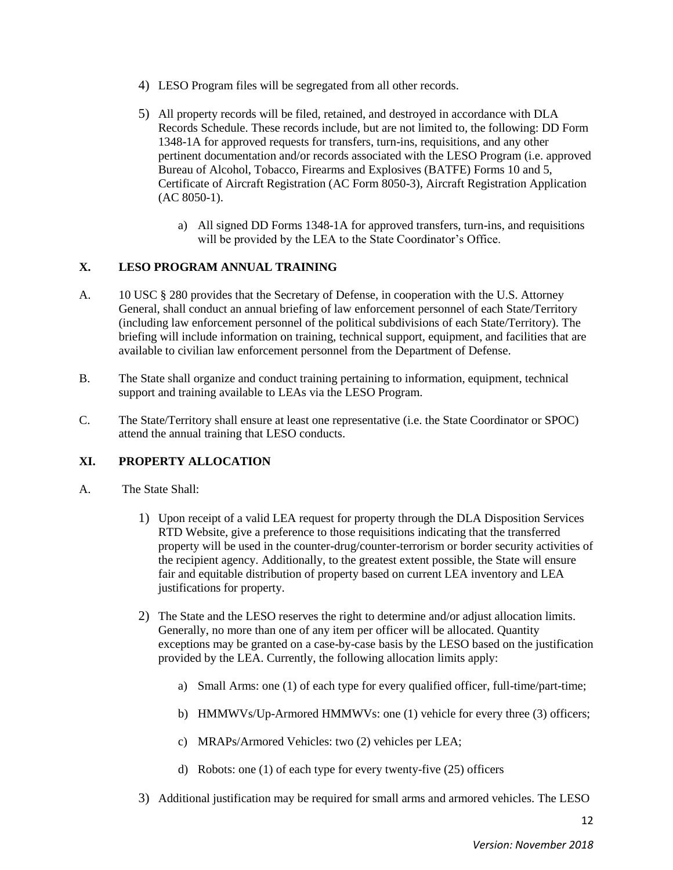- 4) LESO Program files will be segregated from all other records.
- 5) All property records will be filed, retained, and destroyed in accordance with DLA Records Schedule. These records include, but are not limited to, the following: DD Form 1348-1A for approved requests for transfers, turn-ins, requisitions, and any other pertinent documentation and/or records associated with the LESO Program (i.e. approved Bureau of Alcohol, Tobacco, Firearms and Explosives (BATFE) Forms 10 and 5, Certificate of Aircraft Registration (AC Form 8050-3), Aircraft Registration Application (AC 8050-1).
	- a) All signed DD Forms 1348-1A for approved transfers, turn-ins, and requisitions will be provided by the LEA to the State Coordinator's Office.

## **X. LESO PROGRAM ANNUAL TRAINING**

- A. 10 USC § 280 provides that the Secretary of Defense, in cooperation with the U.S. Attorney General, shall conduct an annual briefing of law enforcement personnel of each State/Territory (including law enforcement personnel of the political subdivisions of each State/Territory). The briefing will include information on training, technical support, equipment, and facilities that are available to civilian law enforcement personnel from the Department of Defense.
- B. The State shall organize and conduct training pertaining to information, equipment, technical support and training available to LEAs via the LESO Program.
- C. The State/Territory shall ensure at least one representative (i.e. the State Coordinator or SPOC) attend the annual training that LESO conducts.

## **XI. PROPERTY ALLOCATION**

- A. The State Shall:
	- 1) Upon receipt of a valid LEA request for property through the DLA Disposition Services RTD Website, give a preference to those requisitions indicating that the transferred property will be used in the counter-drug/counter-terrorism or border security activities of the recipient agency. Additionally, to the greatest extent possible, the State will ensure fair and equitable distribution of property based on current LEA inventory and LEA justifications for property.
	- 2) The State and the LESO reserves the right to determine and/or adjust allocation limits. Generally, no more than one of any item per officer will be allocated. Quantity exceptions may be granted on a case-by-case basis by the LESO based on the justification provided by the LEA. Currently, the following allocation limits apply:
		- a) Small Arms: one (1) of each type for every qualified officer, full-time/part-time;
		- b) HMMWVs/Up-Armored HMMWVs: one (1) vehicle for every three (3) officers;
		- c) MRAPs/Armored Vehicles: two (2) vehicles per LEA;
		- d) Robots: one (1) of each type for every twenty-five (25) officers
	- 3) Additional justification may be required for small arms and armored vehicles. The LESO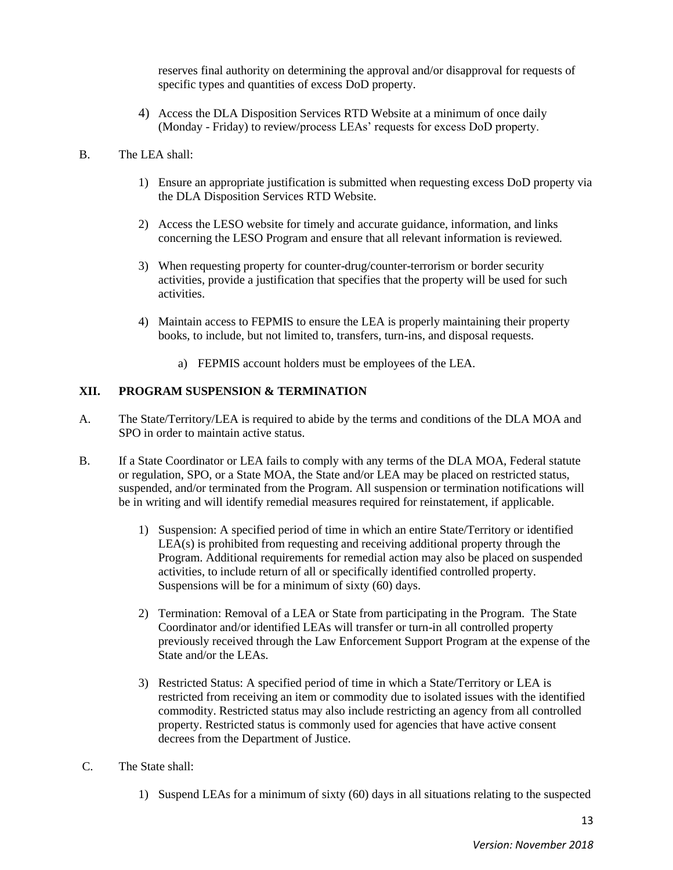reserves final authority on determining the approval and/or disapproval for requests of specific types and quantities of excess DoD property.

- 4) Access the DLA Disposition Services RTD Website at a minimum of once daily (Monday - Friday) to review/process LEAs' requests for excess DoD property.
- B. The LEA shall:
	- 1) Ensure an appropriate justification is submitted when requesting excess DoD property via the DLA Disposition Services RTD Website.
	- 2) Access the LESO website for timely and accurate guidance, information, and links concerning the LESO Program and ensure that all relevant information is reviewed.
	- 3) When requesting property for counter-drug/counter-terrorism or border security activities, provide a justification that specifies that the property will be used for such activities.
	- 4) Maintain access to FEPMIS to ensure the LEA is properly maintaining their property books, to include, but not limited to, transfers, turn-ins, and disposal requests.
		- a) FEPMIS account holders must be employees of the LEA.

## **XII. PROGRAM SUSPENSION & TERMINATION**

- A. The State/Territory/LEA is required to abide by the terms and conditions of the DLA MOA and SPO in order to maintain active status.
- B. If a State Coordinator or LEA fails to comply with any terms of the DLA MOA, Federal statute or regulation, SPO, or a State MOA, the State and/or LEA may be placed on restricted status, suspended, and/or terminated from the Program. All suspension or termination notifications will be in writing and will identify remedial measures required for reinstatement, if applicable.
	- 1) Suspension: A specified period of time in which an entire State/Territory or identified LEA(s) is prohibited from requesting and receiving additional property through the Program. Additional requirements for remedial action may also be placed on suspended activities, to include return of all or specifically identified controlled property. Suspensions will be for a minimum of sixty (60) days.
	- 2) Termination: Removal of a LEA or State from participating in the Program. The State Coordinator and/or identified LEAs will transfer or turn-in all controlled property previously received through the Law Enforcement Support Program at the expense of the State and/or the LEAs.
	- 3) Restricted Status: A specified period of time in which a State/Territory or LEA is restricted from receiving an item or commodity due to isolated issues with the identified commodity. Restricted status may also include restricting an agency from all controlled property. Restricted status is commonly used for agencies that have active consent decrees from the Department of Justice.
- C. The State shall:
	- 1) Suspend LEAs for a minimum of sixty (60) days in all situations relating to the suspected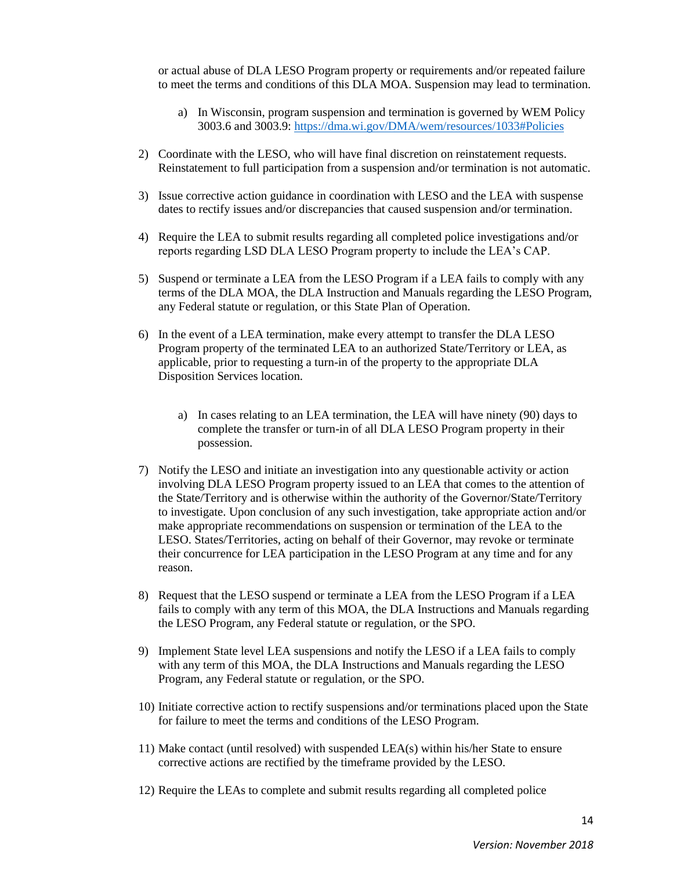or actual abuse of DLA LESO Program property or requirements and/or repeated failure to meet the terms and conditions of this DLA MOA. Suspension may lead to termination.

- a) In Wisconsin, program suspension and termination is governed by WEM Policy 3003.6 and 3003.9[: https://dma.wi.gov/DMA/wem/resources/1033#Policies](https://dma.wi.gov/DMA/wem/resources/1033#Policies)
- 2) Coordinate with the LESO, who will have final discretion on reinstatement requests. Reinstatement to full participation from a suspension and/or termination is not automatic.
- 3) Issue corrective action guidance in coordination with LESO and the LEA with suspense dates to rectify issues and/or discrepancies that caused suspension and/or termination.
- 4) Require the LEA to submit results regarding all completed police investigations and/or reports regarding LSD DLA LESO Program property to include the LEA's CAP.
- 5) Suspend or terminate a LEA from the LESO Program if a LEA fails to comply with any terms of the DLA MOA, the DLA Instruction and Manuals regarding the LESO Program, any Federal statute or regulation, or this State Plan of Operation.
- 6) In the event of a LEA termination, make every attempt to transfer the DLA LESO Program property of the terminated LEA to an authorized State/Territory or LEA, as applicable, prior to requesting a turn-in of the property to the appropriate DLA Disposition Services location.
	- a) In cases relating to an LEA termination, the LEA will have ninety (90) days to complete the transfer or turn-in of all DLA LESO Program property in their possession.
- 7) Notify the LESO and initiate an investigation into any questionable activity or action involving DLA LESO Program property issued to an LEA that comes to the attention of the State/Territory and is otherwise within the authority of the Governor/State/Territory to investigate. Upon conclusion of any such investigation, take appropriate action and/or make appropriate recommendations on suspension or termination of the LEA to the LESO. States/Territories, acting on behalf of their Governor, may revoke or terminate their concurrence for LEA participation in the LESO Program at any time and for any reason.
- 8) Request that the LESO suspend or terminate a LEA from the LESO Program if a LEA fails to comply with any term of this MOA, the DLA Instructions and Manuals regarding the LESO Program, any Federal statute or regulation, or the SPO.
- 9) Implement State level LEA suspensions and notify the LESO if a LEA fails to comply with any term of this MOA, the DLA Instructions and Manuals regarding the LESO Program, any Federal statute or regulation, or the SPO.
- 10) Initiate corrective action to rectify suspensions and/or terminations placed upon the State for failure to meet the terms and conditions of the LESO Program.
- 11) Make contact (until resolved) with suspended LEA(s) within his/her State to ensure corrective actions are rectified by the timeframe provided by the LESO.
- 12) Require the LEAs to complete and submit results regarding all completed police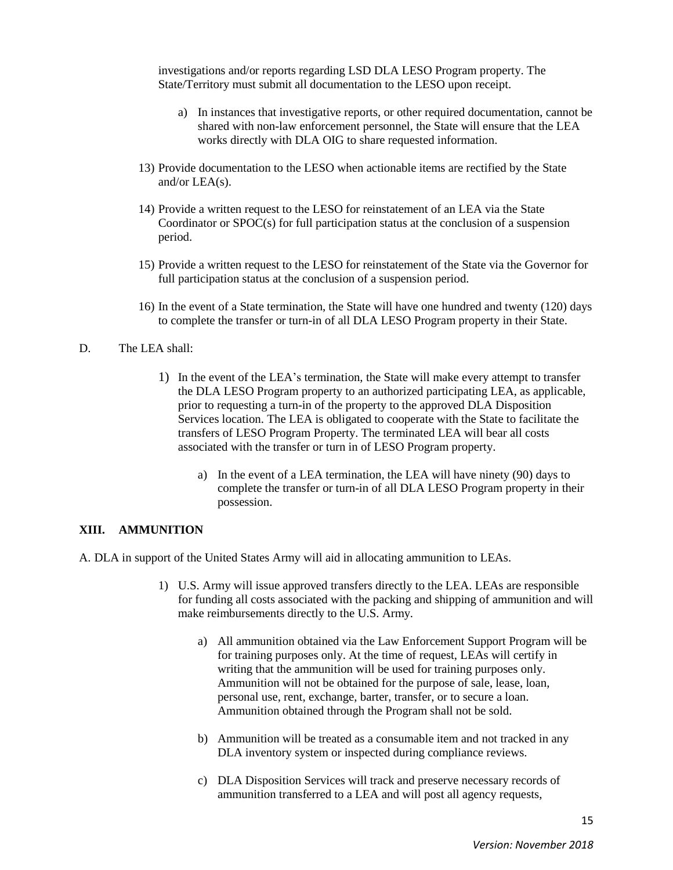investigations and/or reports regarding LSD DLA LESO Program property. The State/Territory must submit all documentation to the LESO upon receipt.

- a) In instances that investigative reports, or other required documentation, cannot be shared with non-law enforcement personnel, the State will ensure that the LEA works directly with DLA OIG to share requested information.
- 13) Provide documentation to the LESO when actionable items are rectified by the State and/or LEA(s).
- 14) Provide a written request to the LESO for reinstatement of an LEA via the State Coordinator or SPOC(s) for full participation status at the conclusion of a suspension period.
- 15) Provide a written request to the LESO for reinstatement of the State via the Governor for full participation status at the conclusion of a suspension period.
- 16) In the event of a State termination, the State will have one hundred and twenty (120) days to complete the transfer or turn-in of all DLA LESO Program property in their State.
- D. The LEA shall:
	- 1) In the event of the LEA's termination, the State will make every attempt to transfer the DLA LESO Program property to an authorized participating LEA, as applicable, prior to requesting a turn-in of the property to the approved DLA Disposition Services location. The LEA is obligated to cooperate with the State to facilitate the transfers of LESO Program Property. The terminated LEA will bear all costs associated with the transfer or turn in of LESO Program property.
		- a) In the event of a LEA termination, the LEA will have ninety (90) days to complete the transfer or turn-in of all DLA LESO Program property in their possession.

### **XIII. AMMUNITION**

A. DLA in support of the United States Army will aid in allocating ammunition to LEAs.

- 1) U.S. Army will issue approved transfers directly to the LEA. LEAs are responsible for funding all costs associated with the packing and shipping of ammunition and will make reimbursements directly to the U.S. Army.
	- a) All ammunition obtained via the Law Enforcement Support Program will be for training purposes only. At the time of request, LEAs will certify in writing that the ammunition will be used for training purposes only. Ammunition will not be obtained for the purpose of sale, lease, loan, personal use, rent, exchange, barter, transfer, or to secure a loan. Ammunition obtained through the Program shall not be sold.
	- b) Ammunition will be treated as a consumable item and not tracked in any DLA inventory system or inspected during compliance reviews.
	- c) DLA Disposition Services will track and preserve necessary records of ammunition transferred to a LEA and will post all agency requests,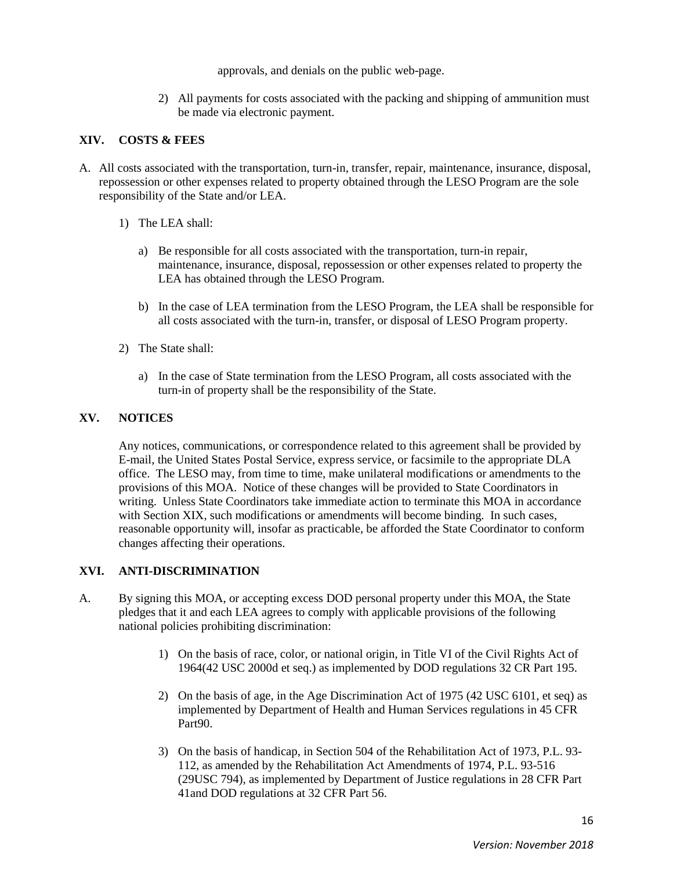approvals, and denials on the public web-page.

2) All payments for costs associated with the packing and shipping of ammunition must be made via electronic payment.

### **XIV. COSTS & FEES**

- A. All costs associated with the transportation, turn-in, transfer, repair, maintenance, insurance, disposal, repossession or other expenses related to property obtained through the LESO Program are the sole responsibility of the State and/or LEA.
	- 1) The LEA shall:
		- a) Be responsible for all costs associated with the transportation, turn-in repair, maintenance, insurance, disposal, repossession or other expenses related to property the LEA has obtained through the LESO Program.
		- b) In the case of LEA termination from the LESO Program, the LEA shall be responsible for all costs associated with the turn-in, transfer, or disposal of LESO Program property.
	- 2) The State shall:
		- a) In the case of State termination from the LESO Program, all costs associated with the turn-in of property shall be the responsibility of the State.

### **XV. NOTICES**

Any notices, communications, or correspondence related to this agreement shall be provided by E-mail, the United States Postal Service, express service, or facsimile to the appropriate DLA office. The LESO may, from time to time, make unilateral modifications or amendments to the provisions of this MOA. Notice of these changes will be provided to State Coordinators in writing. Unless State Coordinators take immediate action to terminate this MOA in accordance with Section XIX, such modifications or amendments will become binding. In such cases, reasonable opportunity will, insofar as practicable, be afforded the State Coordinator to conform changes affecting their operations.

## **XVI. ANTI-DISCRIMINATION**

- A. By signing this MOA, or accepting excess DOD personal property under this MOA, the State pledges that it and each LEA agrees to comply with applicable provisions of the following national policies prohibiting discrimination:
	- 1) On the basis of race, color, or national origin, in Title VI of the Civil Rights Act of 1964(42 USC 2000d et seq.) as implemented by DOD regulations 32 CR Part 195.
	- 2) On the basis of age, in the Age Discrimination Act of 1975 (42 USC 6101, et seq) as implemented by Department of Health and Human Services regulations in 45 CFR Part90.
	- 3) On the basis of handicap, in Section 504 of the Rehabilitation Act of 1973, P.L. 93- 112, as amended by the Rehabilitation Act Amendments of 1974, P.L. 93-516 (29USC 794), as implemented by Department of Justice regulations in 28 CFR Part 41and DOD regulations at 32 CFR Part 56.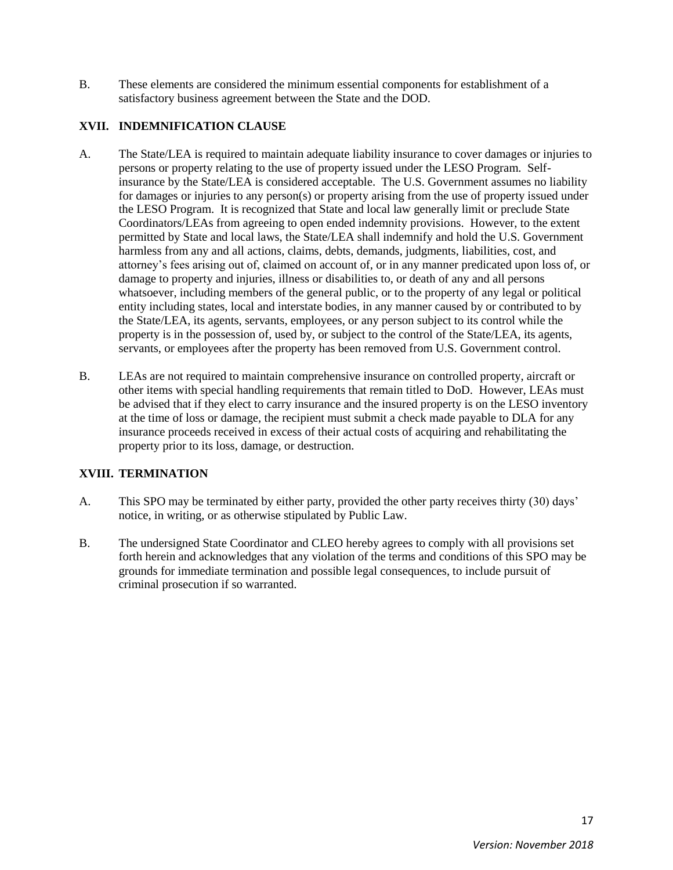B. These elements are considered the minimum essential components for establishment of a satisfactory business agreement between the State and the DOD.

## **XVII. INDEMNIFICATION CLAUSE**

- A. The State/LEA is required to maintain adequate liability insurance to cover damages or injuries to persons or property relating to the use of property issued under the LESO Program. Selfinsurance by the State/LEA is considered acceptable. The U.S. Government assumes no liability for damages or injuries to any person(s) or property arising from the use of property issued under the LESO Program. It is recognized that State and local law generally limit or preclude State Coordinators/LEAs from agreeing to open ended indemnity provisions. However, to the extent permitted by State and local laws, the State/LEA shall indemnify and hold the U.S. Government harmless from any and all actions, claims, debts, demands, judgments, liabilities, cost, and attorney's fees arising out of, claimed on account of, or in any manner predicated upon loss of, or damage to property and injuries, illness or disabilities to, or death of any and all persons whatsoever, including members of the general public, or to the property of any legal or political entity including states, local and interstate bodies, in any manner caused by or contributed to by the State/LEA, its agents, servants, employees, or any person subject to its control while the property is in the possession of, used by, or subject to the control of the State/LEA, its agents, servants, or employees after the property has been removed from U.S. Government control.
- B. LEAs are not required to maintain comprehensive insurance on controlled property, aircraft or other items with special handling requirements that remain titled to DoD. However, LEAs must be advised that if they elect to carry insurance and the insured property is on the LESO inventory at the time of loss or damage, the recipient must submit a check made payable to DLA for any insurance proceeds received in excess of their actual costs of acquiring and rehabilitating the property prior to its loss, damage, or destruction.

# **XVIII. TERMINATION**

- A. This SPO may be terminated by either party, provided the other party receives thirty (30) days' notice, in writing, or as otherwise stipulated by Public Law.
- B. The undersigned State Coordinator and CLEO hereby agrees to comply with all provisions set forth herein and acknowledges that any violation of the terms and conditions of this SPO may be grounds for immediate termination and possible legal consequences, to include pursuit of criminal prosecution if so warranted.